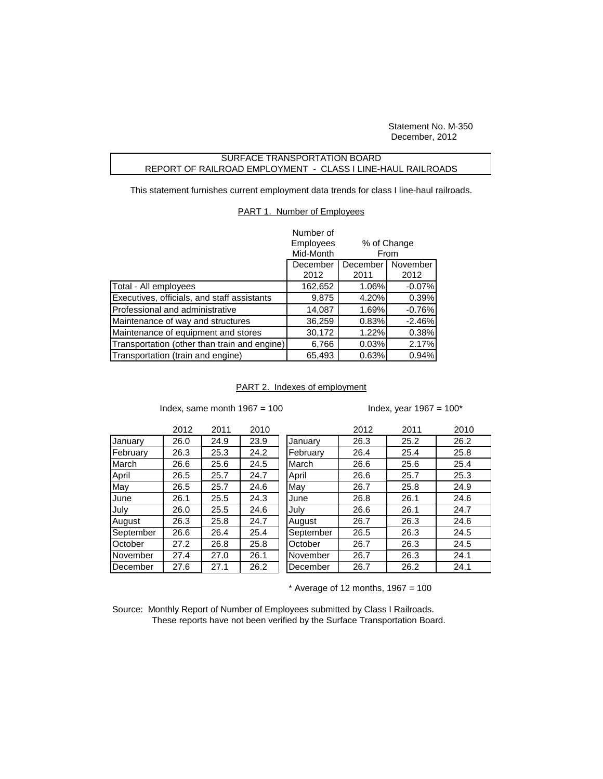Statement No. M-350 December, 2012

## SURFACE TRANSPORTATION BOARD REPORT OF RAILROAD EMPLOYMENT - CLASS I LINE-HAUL RAILROADS

This statement furnishes current employment data trends for class I line-haul railroads.

## PART 1. Number of Employees

|                                              | Number of |                     |          |  |
|----------------------------------------------|-----------|---------------------|----------|--|
|                                              | Employees | % of Change<br>From |          |  |
|                                              | Mid-Month |                     |          |  |
|                                              | December  | December            | November |  |
|                                              | 2012      | 2011                | 2012     |  |
| Total - All employees                        | 162,652   | $1.06\%$            | $-0.07%$ |  |
| Executives, officials, and staff assistants  | 9,875     | 4.20%               | 0.39%    |  |
| Professional and administrative              | 14,087    | 1.69%               | $-0.76%$ |  |
| Maintenance of way and structures            | 36,259    | 0.83%               | $-2.46%$ |  |
| Maintenance of equipment and stores          | 30,172    | 1.22%               | 0.38%    |  |
| Transportation (other than train and engine) | 6,766     | 0.03%               | 2.17%    |  |
| Transportation (train and engine)            | 65,493    | 0.63%               | 0.94%    |  |

## PART 2. Indexes of employment

Index, same month  $1967 = 100$  Index, year  $1967 = 100^*$ 

|           | 2012 | 2011 | 2010 |           | 2012 | 2011 | 2010 |
|-----------|------|------|------|-----------|------|------|------|
| January   | 26.0 | 24.9 | 23.9 | January   | 26.3 | 25.2 | 26.2 |
| February  | 26.3 | 25.3 | 24.2 | February  | 26.4 | 25.4 | 25.8 |
| March     | 26.6 | 25.6 | 24.5 | March     | 26.6 | 25.6 | 25.4 |
| April     | 26.5 | 25.7 | 24.7 | April     | 26.6 | 25.7 | 25.3 |
| May       | 26.5 | 25.7 | 24.6 | May       | 26.7 | 25.8 | 24.9 |
| June      | 26.1 | 25.5 | 24.3 | June      | 26.8 | 26.1 | 24.6 |
| July      | 26.0 | 25.5 | 24.6 | July      | 26.6 | 26.1 | 24.7 |
| August    | 26.3 | 25.8 | 24.7 | August    | 26.7 | 26.3 | 24.6 |
| September | 26.6 | 26.4 | 25.4 | September | 26.5 | 26.3 | 24.5 |
| October   | 27.2 | 26.8 | 25.8 | October   | 26.7 | 26.3 | 24.5 |
| November  | 27.4 | 27.0 | 26.1 | November  | 26.7 | 26.3 | 24.1 |
| December  | 27.6 | 27.1 | 26.2 | December  | 26.7 | 26.2 | 24.1 |
|           |      |      |      |           |      |      |      |

 $*$  Average of 12 months, 1967 = 100

Source: Monthly Report of Number of Employees submitted by Class I Railroads. These reports have not been verified by the Surface Transportation Board.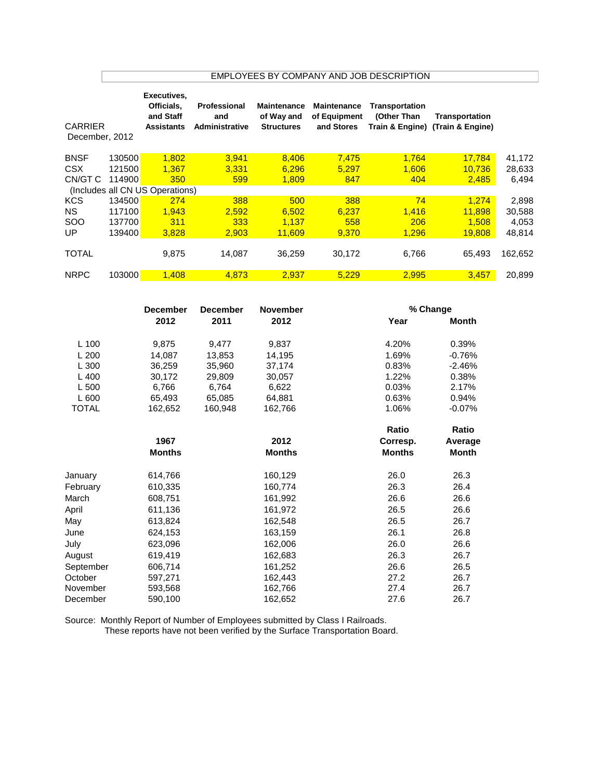|                                      | EMPLOYEES BY COMPANY AND JOB DESCRIPTION |                                                             |                                       |                                                       |                                                  |                               |                                                    |                           |  |  |
|--------------------------------------|------------------------------------------|-------------------------------------------------------------|---------------------------------------|-------------------------------------------------------|--------------------------------------------------|-------------------------------|----------------------------------------------------|---------------------------|--|--|
| <b>CARRIER</b><br>December, 2012     |                                          | Executives,<br>Officials,<br>and Staff<br><b>Assistants</b> | Professional<br>and<br>Administrative | <b>Maintenance</b><br>of Way and<br><b>Structures</b> | <b>Maintenance</b><br>of Equipment<br>and Stores | Transportation<br>(Other Than | Transportation<br>Train & Engine) (Train & Engine) |                           |  |  |
| <b>BNSF</b><br><b>CSX</b><br>CN/GT C | 130500<br>121500<br>114900               | 1,802<br>1,367<br>350                                       | 3,941<br>3,331<br>599                 | 8,406<br>6,296<br>1,809                               | 7,475<br>5,297<br>847                            | 1,764<br>1,606<br>404         | 17,784<br>10,736<br>2,485                          | 41,172<br>28,633<br>6,494 |  |  |
|                                      |                                          | (Includes all CN US Operations)                             |                                       |                                                       |                                                  |                               |                                                    |                           |  |  |
| <b>KCS</b><br><b>NS</b>              | 134500<br>117100                         | 274<br>1,943                                                | 388<br>2,592                          | 500<br>6,502                                          | 388<br>6,237                                     | 74<br>1,416                   | 1,274<br>11,898                                    | 2,898<br>30,588           |  |  |
| SOO                                  | 137700                                   | 311                                                         | 333                                   | 1,137                                                 | 558                                              | 206                           | 1,508                                              | 4,053                     |  |  |
| UP                                   | 139400                                   | 3,828                                                       | 2,903                                 | 11,609                                                | 9,370                                            | 1,296                         | 19,808                                             | 48,814                    |  |  |
| <b>TOTAL</b>                         |                                          | 9,875                                                       | 14,087                                | 36,259                                                | 30,172                                           | 6,766                         | 65,493                                             | 162,652                   |  |  |
| <b>NRPC</b>                          | 103000                                   | 1,408                                                       |                                       |                                                       | 5,229                                            |                               |                                                    | 20,899                    |  |  |
|                                      |                                          | <b>December</b>                                             | 4,873<br><b>December</b>              | 2,937<br><b>November</b>                              |                                                  | 2,995                         | 3,457                                              |                           |  |  |
|                                      | 2012                                     |                                                             | 2011                                  | 2012                                                  | % Change<br>Year                                 |                               | <b>Month</b>                                       |                           |  |  |
|                                      |                                          |                                                             |                                       |                                                       |                                                  |                               |                                                    |                           |  |  |
| L 100                                |                                          | 9,875                                                       | 9,477                                 | 9,837                                                 |                                                  | 4.20%                         | 0.39%                                              |                           |  |  |
| L200                                 |                                          | 14,087                                                      | 13,853                                | 14,195                                                |                                                  | 1.69%                         | $-0.76%$                                           |                           |  |  |
| L 300                                |                                          | 36,259                                                      | 35,960                                | 37,174                                                |                                                  | 0.83%                         | $-2.46%$                                           |                           |  |  |
| L 400                                |                                          | 30,172                                                      | 29,809                                | 30,057                                                |                                                  | 1.22%                         | 0.38%                                              |                           |  |  |
| L 500                                |                                          | 6,766                                                       | 6,764                                 | 6,622                                                 |                                                  | 0.03%                         | 2.17%                                              |                           |  |  |
| L 600                                |                                          | 65,493                                                      | 65,085                                | 64,881                                                |                                                  | 0.63%                         | 0.94%                                              |                           |  |  |
| <b>TOTAL</b>                         |                                          | 162,652                                                     | 160,948                               | 162,766                                               |                                                  | 1.06%                         | $-0.07%$                                           |                           |  |  |
|                                      |                                          |                                                             |                                       |                                                       |                                                  | Ratio                         | Ratio                                              |                           |  |  |
|                                      |                                          | 1967                                                        |                                       | 2012                                                  |                                                  | Corresp.                      | Average                                            |                           |  |  |
|                                      |                                          | <b>Months</b>                                               |                                       | <b>Months</b>                                         |                                                  | <b>Months</b>                 | <b>Month</b>                                       |                           |  |  |
|                                      |                                          |                                                             |                                       |                                                       |                                                  | 26.0                          | 26.3                                               |                           |  |  |
| January<br>February                  |                                          | 614,766<br>610,335                                          |                                       | 160,129<br>160,774                                    |                                                  | 26.3                          | 26.4                                               |                           |  |  |
| March                                |                                          | 608,751                                                     |                                       | 161,992                                               |                                                  | 26.6                          | 26.6                                               |                           |  |  |
| April                                |                                          | 611,136                                                     |                                       | 161,972                                               |                                                  | 26.5                          | 26.6                                               |                           |  |  |
| May                                  |                                          | 613,824                                                     |                                       | 162,548                                               |                                                  | 26.5                          | 26.7                                               |                           |  |  |
| June                                 |                                          | 624,153                                                     |                                       | 163,159                                               |                                                  | 26.1                          | 26.8                                               |                           |  |  |
| July                                 |                                          | 623,096                                                     |                                       | 162,006                                               |                                                  | 26.0                          | 26.6                                               |                           |  |  |
| August                               |                                          | 619,419                                                     |                                       | 162,683                                               |                                                  | 26.3                          | 26.7                                               |                           |  |  |
| September                            |                                          | 606,714                                                     |                                       | 161,252                                               |                                                  | 26.6                          | 26.5                                               |                           |  |  |
| October                              |                                          | 597,271                                                     |                                       | 162,443                                               |                                                  | 27.2                          | 26.7                                               |                           |  |  |
| November                             |                                          | 593,568                                                     |                                       | 162,766                                               |                                                  | 27.4                          | 26.7                                               |                           |  |  |
| December                             |                                          | 590,100                                                     |                                       | 162,652                                               |                                                  | 27.6                          | 26.7                                               |                           |  |  |

Source: Monthly Report of Number of Employees submitted by Class I Railroads. These reports have not been verified by the Surface Transportation Board.